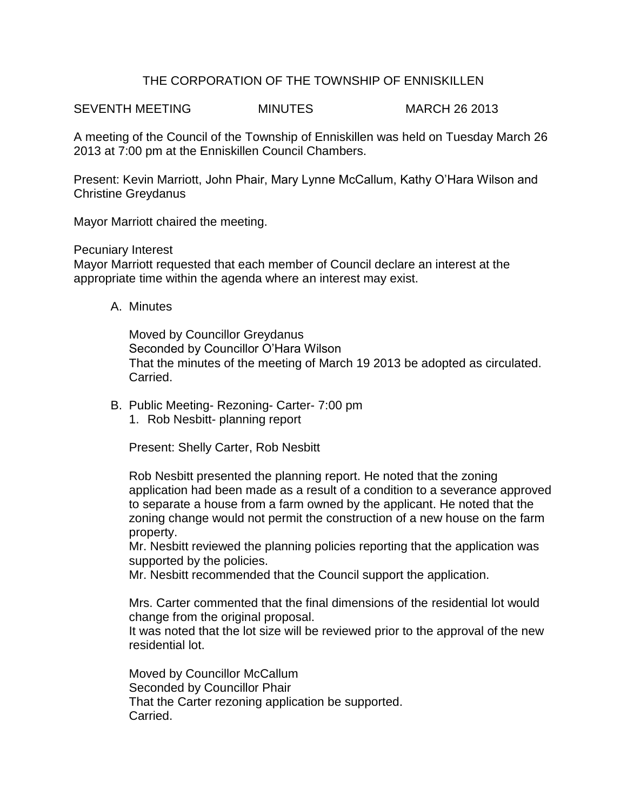## THE CORPORATION OF THE TOWNSHIP OF ENNISKILLEN

SEVENTH MEETING MINUTES MARCH 26 2013

A meeting of the Council of the Township of Enniskillen was held on Tuesday March 26 2013 at 7:00 pm at the Enniskillen Council Chambers.

Present: Kevin Marriott, John Phair, Mary Lynne McCallum, Kathy O'Hara Wilson and Christine Greydanus

Mayor Marriott chaired the meeting.

Pecuniary Interest

Mayor Marriott requested that each member of Council declare an interest at the appropriate time within the agenda where an interest may exist.

A. Minutes

Moved by Councillor Greydanus Seconded by Councillor O'Hara Wilson That the minutes of the meeting of March 19 2013 be adopted as circulated. Carried.

B. Public Meeting- Rezoning- Carter- 7:00 pm 1. Rob Nesbitt- planning report

Present: Shelly Carter, Rob Nesbitt

Rob Nesbitt presented the planning report. He noted that the zoning application had been made as a result of a condition to a severance approved to separate a house from a farm owned by the applicant. He noted that the zoning change would not permit the construction of a new house on the farm property.

Mr. Nesbitt reviewed the planning policies reporting that the application was supported by the policies.

Mr. Nesbitt recommended that the Council support the application.

Mrs. Carter commented that the final dimensions of the residential lot would change from the original proposal.

It was noted that the lot size will be reviewed prior to the approval of the new residential lot.

Moved by Councillor McCallum Seconded by Councillor Phair That the Carter rezoning application be supported. Carried.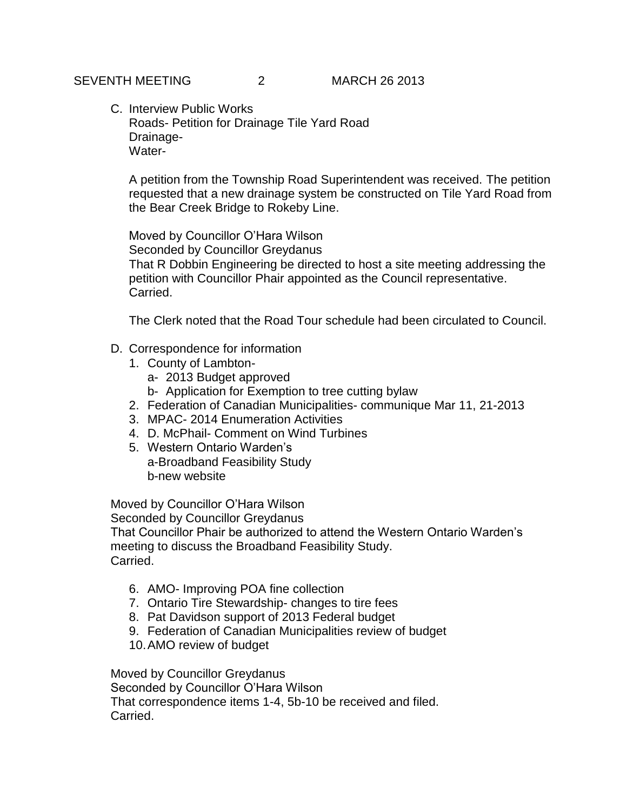C. Interview Public Works Roads- Petition for Drainage Tile Yard Road Drainage-Water-

A petition from the Township Road Superintendent was received. The petition requested that a new drainage system be constructed on Tile Yard Road from the Bear Creek Bridge to Rokeby Line.

Moved by Councillor O'Hara Wilson Seconded by Councillor Greydanus That R Dobbin Engineering be directed to host a site meeting addressing the petition with Councillor Phair appointed as the Council representative. Carried.

The Clerk noted that the Road Tour schedule had been circulated to Council.

- D. Correspondence for information
	- 1. County of Lambton
		- a- 2013 Budget approved
		- b- Application for Exemption to tree cutting bylaw
	- 2. Federation of Canadian Municipalities- communique Mar 11, 21-2013
	- 3. MPAC- 2014 Enumeration Activities
	- 4. D. McPhail- Comment on Wind Turbines
	- 5. Western Ontario Warden's a-Broadband Feasibility Study b-new website

Moved by Councillor O'Hara Wilson

Seconded by Councillor Greydanus

That Councillor Phair be authorized to attend the Western Ontario Warden's meeting to discuss the Broadband Feasibility Study. Carried.

- 6. AMO- Improving POA fine collection
- 7. Ontario Tire Stewardship- changes to tire fees
- 8. Pat Davidson support of 2013 Federal budget
- 9. Federation of Canadian Municipalities review of budget
- 10.AMO review of budget

Moved by Councillor Greydanus Seconded by Councillor O'Hara Wilson That correspondence items 1-4, 5b-10 be received and filed. Carried.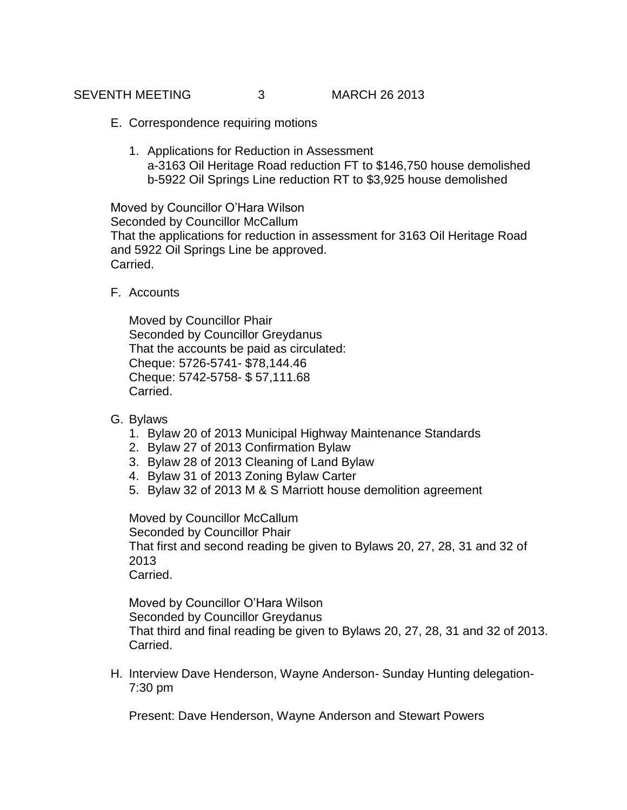SEVENTH MEETING 3 MARCH 26 2013

- E. Correspondence requiring motions
	- 1. Applications for Reduction in Assessment a-3163 Oil Heritage Road reduction FT to \$146,750 house demolished b-5922 Oil Springs Line reduction RT to \$3,925 house demolished

Moved by Councillor O'Hara Wilson Seconded by Councillor McCallum That the applications for reduction in assessment for 3163 Oil Heritage Road and 5922 Oil Springs Line be approved. Carried.

F. Accounts

Moved by Councillor Phair Seconded by Councillor Greydanus That the accounts be paid as circulated: Cheque: 5726-5741- \$78,144.46 Cheque: 5742-5758- \$ 57,111.68 Carried.

- G. Bylaws
	- 1. Bylaw 20 of 2013 Municipal Highway Maintenance Standards
	- 2. Bylaw 27 of 2013 Confirmation Bylaw
	- 3. Bylaw 28 of 2013 Cleaning of Land Bylaw
	- 4. Bylaw 31 of 2013 Zoning Bylaw Carter
	- 5. Bylaw 32 of 2013 M & S Marriott house demolition agreement

Moved by Councillor McCallum Seconded by Councillor Phair That first and second reading be given to Bylaws 20, 27, 28, 31 and 32 of 2013 Carried.

Moved by Councillor O'Hara Wilson Seconded by Councillor Greydanus That third and final reading be given to Bylaws 20, 27, 28, 31 and 32 of 2013. Carried.

H. Interview Dave Henderson, Wayne Anderson- Sunday Hunting delegation-7:30 pm

Present: Dave Henderson, Wayne Anderson and Stewart Powers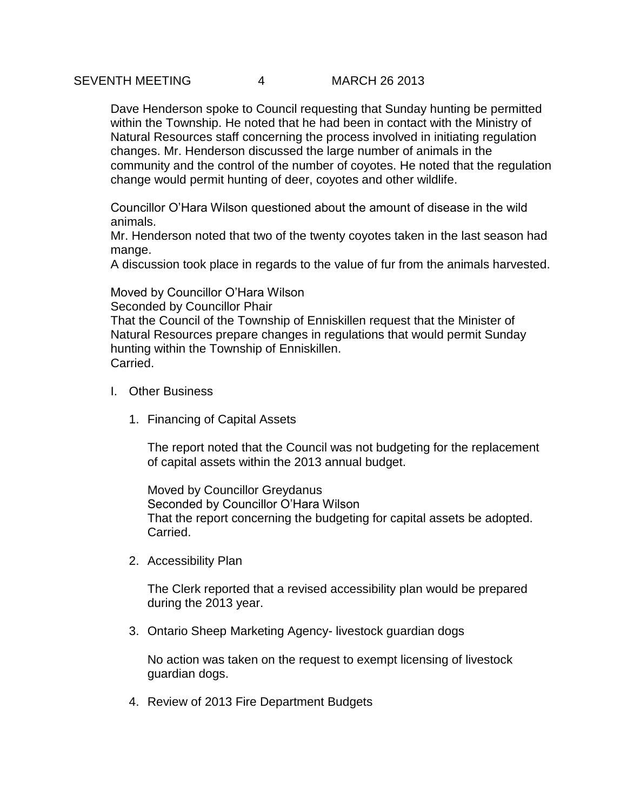Dave Henderson spoke to Council requesting that Sunday hunting be permitted within the Township. He noted that he had been in contact with the Ministry of Natural Resources staff concerning the process involved in initiating regulation changes. Mr. Henderson discussed the large number of animals in the community and the control of the number of coyotes. He noted that the regulation change would permit hunting of deer, coyotes and other wildlife.

Councillor O'Hara Wilson questioned about the amount of disease in the wild animals.

Mr. Henderson noted that two of the twenty coyotes taken in the last season had mange.

A discussion took place in regards to the value of fur from the animals harvested.

Moved by Councillor O'Hara Wilson Seconded by Councillor Phair That the Council of the Township of Enniskillen request that the Minister of Natural Resources prepare changes in regulations that would permit Sunday hunting within the Township of Enniskillen. Carried.

- I. Other Business
	- 1. Financing of Capital Assets

The report noted that the Council was not budgeting for the replacement of capital assets within the 2013 annual budget.

Moved by Councillor Greydanus Seconded by Councillor O'Hara Wilson That the report concerning the budgeting for capital assets be adopted. Carried.

2. Accessibility Plan

The Clerk reported that a revised accessibility plan would be prepared during the 2013 year.

3. Ontario Sheep Marketing Agency- livestock guardian dogs

No action was taken on the request to exempt licensing of livestock guardian dogs.

4. Review of 2013 Fire Department Budgets